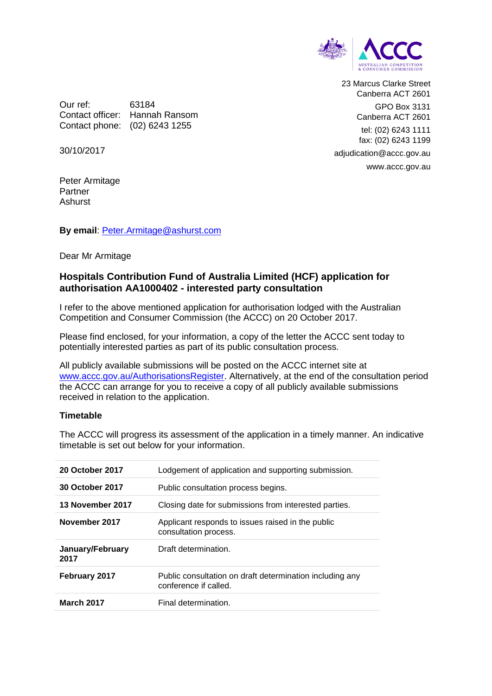

23 Marcus Clarke Street Canberra ACT 2601 GPO Box 3131 Canberra ACT 2601 tel: (02) 6243 1111 fax: (02) 6243 1199 adjudication@accc.gov.au www.accc.gov.au

Our ref: 63184 Contact officer: Hannah Ransom Contact phone: (02) 6243 1255

30/10/2017

Peter Armitage Partner Ashurst

## **By email**: [Peter.Armitage@ashurst.com](mailto:Peter.Armitage@ashurst.com)

Dear Mr Armitage

## **Hospitals Contribution Fund of Australia Limited (HCF) application for authorisation AA1000402 - interested party consultation**

I refer to the above mentioned application for authorisation lodged with the Australian Competition and Consumer Commission (the ACCC) on 20 October 2017.

Please find enclosed, for your information, a copy of the letter the ACCC sent today to potentially interested parties as part of its public consultation process.

All publicly available submissions will be posted on the ACCC internet site at [www.accc.gov.au/AuthorisationsRegister.](http://www.accc.gov.au/AuthorisationsRegister) Alternatively, at the end of the consultation period the ACCC can arrange for you to receive a copy of all publicly available submissions received in relation to the application.

## **Timetable**

The ACCC will progress its assessment of the application in a timely manner. An indicative timetable is set out below for your information.

| 20 October 2017          | Lodgement of application and supporting submission.                               |
|--------------------------|-----------------------------------------------------------------------------------|
| <b>30 October 2017</b>   | Public consultation process begins.                                               |
| 13 November 2017         | Closing date for submissions from interested parties.                             |
| November 2017            | Applicant responds to issues raised in the public<br>consultation process.        |
| January/February<br>2017 | Draft determination.                                                              |
| <b>February 2017</b>     | Public consultation on draft determination including any<br>conference if called. |
| <b>March 2017</b>        | Final determination.                                                              |